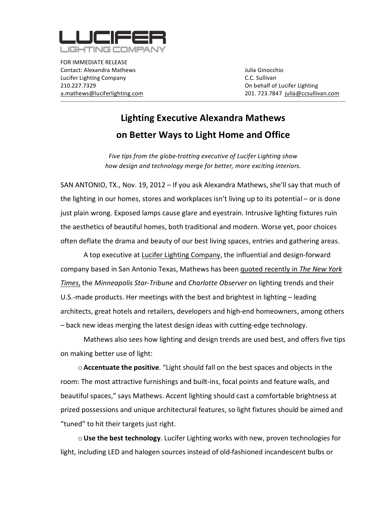

FOR
IMMEDIATE
RELEASE Contact:
Alexandra
Mathews Julia
Ginocchio Lucifer
Lighting
Company C.C.
Sullivan 210.227.7329 On
behalf
of
Lucifer
Lighting

a.mathews@luciferlighting.com 201. 723.7847

julia@ccsullivan.com

## **Lighting
Executive
Alexandra
Mathews on
Better
Ways
to
Light
Home
and
Office**

Five tips from the globe-trotting executive of Lucifer Lighting show *how
design
and
technology
merge
for
better,
more
exciting
interiors.*

SAN ANTONIO, TX., Nov. 19, 2012 - If you ask Alexandra Mathews, she'll say that much of the lighting in our homes, stores and workplaces isn't living up to its potential – or is done just plain wrong. Exposed lamps cause glare and eyestrain. Intrusive lighting fixtures ruin the
aesthetics
of
beautiful
homes,
both
traditional
and
modern.
Worse
yet,
poor
choices often deflate the drama and beauty of our best living spaces, entries and gathering areas.

A top executive at Lucifer Lighting Company, the influential and design-forward company based in San Antonio Texas, Mathews has been **quoted recently in The New York** *Times*,
the *Minneapolis
Star‐Tribune*and *Charlotte
Observer*on
lighting
trends
and
their U.S.-made products. Her meetings with the best and brightest in lighting – leading architects, great hotels and retailers, developers and high-end homeowners, among others –
back
new
ideas
merging
the
latest
design
ideas
with
cutting‐edge
technology.

Mathews also sees how lighting and design trends are used best, and offers five tips on
making
better
use
of
light:

o **Accentuate the positive**. "Light should fall on the best spaces and objects in the room: The most attractive furnishings and built-ins, focal points and feature walls, and beautiful
spaces,"
says
Mathews.
Accent
lighting
should
cast
a comfortable
brightness
at prized possessions and unique architectural features, so light fixtures should be aimed and "tuned" to hit their targets just right.

o Use the best technology. Lucifer Lighting works with new, proven technologies for light, including LED and halogen sources instead of old-fashioned incandescent bulbs or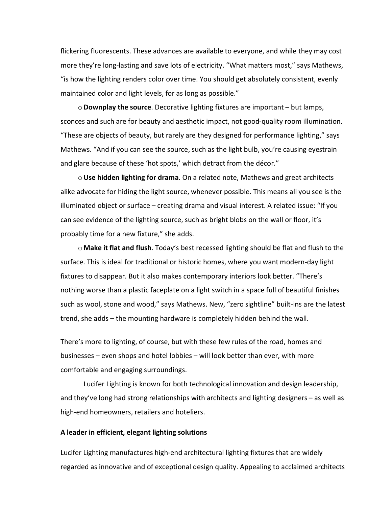flickering fluorescents. These advances are available to everyone, and while they may cost more they're long-lasting and save lots of electricity. "What matters most," says Mathews, " is how the lighting renders color over time. You should get absolutely consistent, evenly maintained color and light levels, for as long as possible."

o **Downplay the source**. Decorative lighting fixtures are important – but lamps, sconces
and
such
are
for
beauty
and
aesthetic
impact,
not
good‐quality
room
illumination. "These are objects of beauty, but rarely are they designed for performance lighting," says Mathews. "And if you can see the source, such as the light bulb, you're causing eyestrain and glare because of these 'hot spots,' which detract from the décor."

o Use hidden lighting for drama. On a related note, Mathews and great architects alike advocate for hiding the light source, whenever possible. This means all you see is the illuminated
object
or
surface
–
creating
drama
and
visual
interest. A
related
issue:
"If
you can
see
evidence
of
the
lighting
source,
such
as
bright
blobs
on
the
wall
or
floor,
it's probably
time
for
a
new
fixture,"
she
adds.

○ **Make it flat and flush**. Today's best recessed lighting should be flat and flush to the surface. This is ideal for traditional or historic homes, where you want modern-day light fixtures to disappear. But it also makes contemporary interiors look better. "There's nothing worse than a plastic faceplate on a light switch in a space full of beautiful finishes such as wool, stone and wood," says Mathews. New, "zero sightline" built-ins are the latest trend,
she
adds
–
the
mounting
hardware
is
completely
hidden
behind
the
wall.

There's
more
to
lighting,
of
course,
but
with
these
few
rules
of
the
road,
homes
and businesses
–
even
shops
and
hotel
lobbies
–
will
look
better
than
ever,
with
more comfortable
and
engaging
surroundings.

Lucifer
Lighting
is
known
for
both
technological
innovation
and
design
leadership, and they've long had strong relationships with architects and lighting designers - as well as high-end homeowners, retailers and hoteliers.

## **A
leader
in
efficient,
elegant
lighting
solutions**

Lucifer Lighting manufactures high-end architectural lighting fixtures that are widely regarded as innovative and of exceptional design quality. Appealing to acclaimed architects